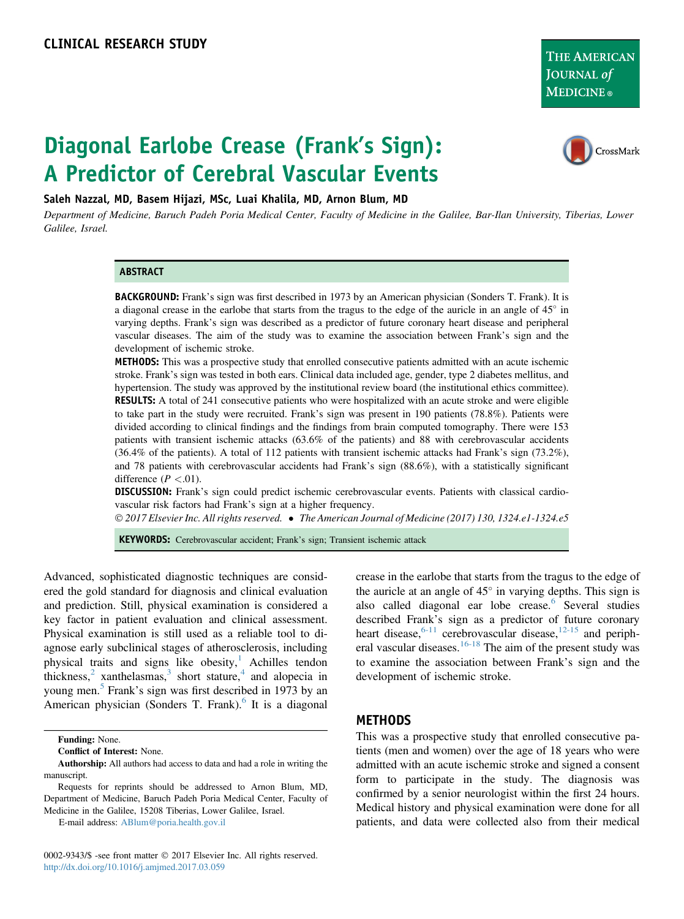THE AMERICAN JOURNAL of **MEDICINE** ®

# Diagonal Earlobe Crease (Frank's Sign): A Predictor of Cerebral Vascular Events



Saleh Nazzal, MD, Basem Hijazi, MSc, Luai Khalila, MD, Arnon Blum, MD

Department of Medicine, Baruch Padeh Poria Medical Center, Faculty of Medicine in the Galilee, Bar-Ilan University, Tiberias, Lower Galilee, Israel.

#### ABSTRACT

BACKGROUND: Frank's sign was first described in 1973 by an American physician (Sonders T. Frank). It is a diagonal crease in the earlobe that starts from the tragus to the edge of the auricle in an angle of  $45^\circ$  in varying depths. Frank's sign was described as a predictor of future coronary heart disease and peripheral vascular diseases. The aim of the study was to examine the association between Frank's sign and the development of ischemic stroke.

METHODS: This was a prospective study that enrolled consecutive patients admitted with an acute ischemic stroke. Frank's sign was tested in both ears. Clinical data included age, gender, type 2 diabetes mellitus, and hypertension. The study was approved by the institutional review board (the institutional ethics committee). RESULTS: A total of 241 consecutive patients who were hospitalized with an acute stroke and were eligible to take part in the study were recruited. Frank's sign was present in 190 patients (78.8%). Patients were divided according to clinical findings and the findings from brain computed tomography. There were 153 patients with transient ischemic attacks (63.6% of the patients) and 88 with cerebrovascular accidents (36.4% of the patients). A total of 112 patients with transient ischemic attacks had Frank's sign (73.2%), and 78 patients with cerebrovascular accidents had Frank's sign (88.6%), with a statistically significant difference  $(P < .01)$ .

DISCUSSION: Frank's sign could predict ischemic cerebrovascular events. Patients with classical cardiovascular risk factors had Frank's sign at a higher frequency.

 $\odot$  2017 Elsevier Inc. All rights reserved.  $\bullet$  The American Journal of Medicine (2017) 130, 1324.e1-1324.e5

KEYWORDS: Cerebrovascular accident; Frank's sign; Transient ischemic attack

Advanced, sophisticated diagnostic techniques are considered the gold standard for diagnosis and clinical evaluation and prediction. Still, physical examination is considered a key factor in patient evaluation and clinical assessment. Physical examination is still used as a reliable tool to diagnose early subclinical stages of atherosclerosis, including physical traits and signs like obesity, Achilles tendon thickness, $\frac{2}{3}$  $\frac{2}{3}$  $\frac{2}{3}$  $\frac{2}{3}$  $\frac{2}{3}$  xanthelasmas, $\frac{3}{3}$  short stature, $\frac{4}{3}$  $\frac{4}{3}$  $\frac{4}{3}$  and alopecia in young men.<sup>[5](#page-4-0)</sup> Frank's sign was first described in 1973 by an American physician (Sonders T. Frank). $6$  It is a diagonal

E-mail address: [ABlum@poria.health.gov.il](mailto:ABlum@poria.health.gov.il)

0002-9343/\$ -see front matter © 2017 Elsevier Inc. All rights reserved. <http://dx.doi.org/10.1016/j.amjmed.2017.03.059>

crease in the earlobe that starts from the tragus to the edge of the auricle at an angle of  $45^\circ$  in varying depths. This sign is also called diagonal ear lobe crease.<sup>[6](#page-4-0)</sup> Several studies described Frank's sign as a predictor of future coronary heart disease, $6-11$  cerebrovascular disease, $12-15$  and periph-eral vascular diseases.<sup>[16-18](#page-4-0)</sup> The aim of the present study was to examine the association between Frank's sign and the development of ischemic stroke.

#### METHODS

This was a prospective study that enrolled consecutive patients (men and women) over the age of 18 years who were admitted with an acute ischemic stroke and signed a consent form to participate in the study. The diagnosis was confirmed by a senior neurologist within the first 24 hours. Medical history and physical examination were done for all patients, and data were collected also from their medical

Funding: None.

Conflict of Interest: None.

Authorship: All authors had access to data and had a role in writing the manuscript.

Requests for reprints should be addressed to Arnon Blum, MD, Department of Medicine, Baruch Padeh Poria Medical Center, Faculty of Medicine in the Galilee, 15208 Tiberias, Lower Galilee, Israel.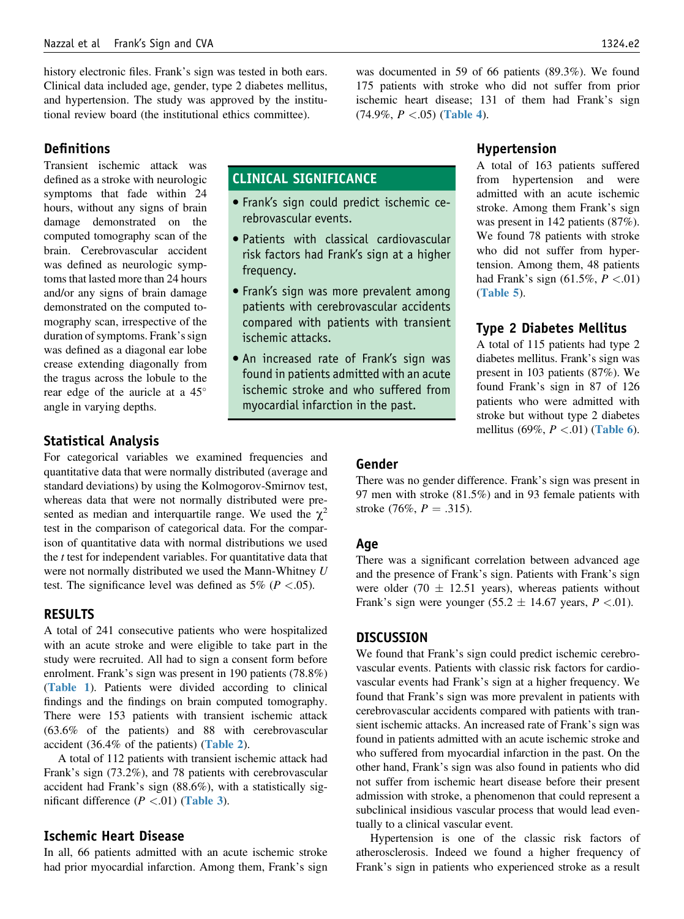history electronic files. Frank's sign was tested in both ears. Clinical data included age, gender, type 2 diabetes mellitus, and hypertension. The study was approved by the institutional review board (the institutional ethics committee).

**Definitions** 

Transient ischemic attack was defined as a stroke with neurologic symptoms that fade within 24 hours, without any signs of brain damage demonstrated on the computed tomography scan of the brain. Cerebrovascular accident was defined as neurologic symptoms that lasted more than 24 hours and/or any signs of brain damage demonstrated on the computed tomography scan, irrespective of the duration of symptoms. Frank's sign was defined as a diagonal ear lobe crease extending diagonally from the tragus across the lobule to the rear edge of the auricle at a 45 angle in varying depths.

# CLINICAL SIGNIFICANCE

- Frank's sign could predict ischemic cerebrovascular events.
- Patients with classical cardiovascular risk factors had Frank's sign at a higher frequency.
- Frank's sign was more prevalent among patients with cerebrovascular accidents compared with patients with transient ischemic attacks.
- An increased rate of Frank's sign was found in patients admitted with an acute ischemic stroke and who suffered from myocardial infarction in the past.

# Hypertension

was documented in 59 of 66 patients (89.3%). We found 175 patients with stroke who did not suffer from prior ischemic heart disease; 131 of them had Frank's sign

 $(74.9\%, P < .05)$  ([Table 4](#page-2-0)).

A total of 163 patients suffered from hypertension and were admitted with an acute ischemic stroke. Among them Frank's sign was present in 142 patients (87%). We found 78 patients with stroke who did not suffer from hypertension. Among them, 48 patients had Frank's sign  $(61.5\%, P < .01)$ ([Table 5](#page-3-0)).

# Type 2 Diabetes Mellitus

A total of 115 patients had type 2 diabetes mellitus. Frank's sign was present in 103 patients (87%). We found Frank's sign in 87 of 126 patients who were admitted with stroke but without type 2 diabetes mellitus (69%,  $P < .01$ ) ([Table 6](#page-3-0)).

# Statistical Analysis

For categorical variables we examined frequencies and quantitative data that were normally distributed (average and standard deviations) by using the Kolmogorov-Smirnov test, whereas data that were not normally distributed were presented as median and interquartile range. We used the  $\chi^2$ test in the comparison of categorical data. For the comparison of quantitative data with normal distributions we used the  $t$  test for independent variables. For quantitative data that were not normally distributed we used the Mann-Whitney U test. The significance level was defined as  $5\%$  ( $P < .05$ ).

# **RESULTS**

A total of 241 consecutive patients who were hospitalized with an acute stroke and were eligible to take part in the study were recruited. All had to sign a consent form before enrolment. Frank's sign was present in 190 patients (78.8%) ([Table 1](#page-2-0)). Patients were divided according to clinical findings and the findings on brain computed tomography. There were 153 patients with transient ischemic attack (63.6% of the patients) and 88 with cerebrovascular accident (36.4% of the patients) ([Table 2](#page-2-0)).

A total of 112 patients with transient ischemic attack had Frank's sign (73.2%), and 78 patients with cerebrovascular accident had Frank's sign (88.6%), with a statistically significant difference  $(P < .01)$  ([Table 3](#page-2-0)).

# Ischemic Heart Disease

In all, 66 patients admitted with an acute ischemic stroke had prior myocardial infarction. Among them, Frank's sign

# Gender

There was no gender difference. Frank's sign was present in 97 men with stroke (81.5%) and in 93 female patients with stroke (76%,  $P = .315$ ).

# Age

There was a significant correlation between advanced age and the presence of Frank's sign. Patients with Frank's sign were older (70  $\pm$  12.51 years), whereas patients without Frank's sign were younger (55.2  $\pm$  14.67 years, P <.01).

### **DISCUSSION**

We found that Frank's sign could predict ischemic cerebrovascular events. Patients with classic risk factors for cardiovascular events had Frank's sign at a higher frequency. We found that Frank's sign was more prevalent in patients with cerebrovascular accidents compared with patients with transient ischemic attacks. An increased rate of Frank's sign was found in patients admitted with an acute ischemic stroke and who suffered from myocardial infarction in the past. On the other hand, Frank's sign was also found in patients who did not suffer from ischemic heart disease before their present admission with stroke, a phenomenon that could represent a subclinical insidious vascular process that would lead eventually to a clinical vascular event.

Hypertension is one of the classic risk factors of atherosclerosis. Indeed we found a higher frequency of Frank's sign in patients who experienced stroke as a result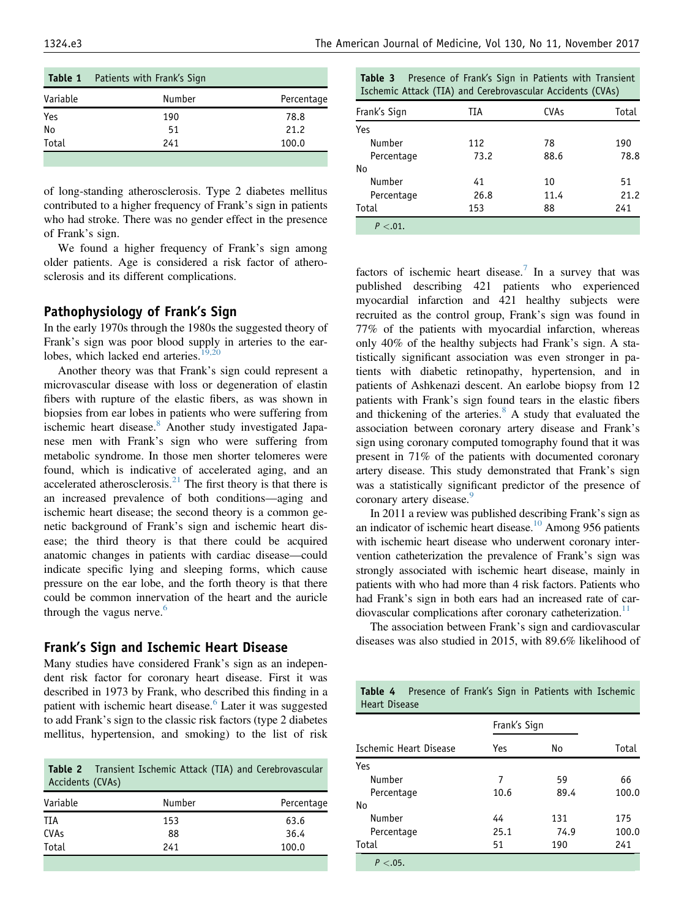<span id="page-2-0"></span>

|          | <b>Table 1</b> Patients with Frank's Sign |            |
|----------|-------------------------------------------|------------|
| Variable | Number                                    | Percentage |
| Yes      | 190                                       | 78.8       |
| No       | 51                                        | 21.2       |
| Total    | 241                                       | 100.0      |
|          |                                           |            |

of long-standing atherosclerosis. Type 2 diabetes mellitus contributed to a higher frequency of Frank's sign in patients who had stroke. There was no gender effect in the presence of Frank's sign.

We found a higher frequency of Frank's sign among older patients. Age is considered a risk factor of atherosclerosis and its different complications.

# Pathophysiology of Frank's Sign

In the early 1970s through the 1980s the suggested theory of Frank's sign was poor blood supply in arteries to the earlobes, which lacked end arteries. $19,20$ 

Another theory was that Frank's sign could represent a microvascular disease with loss or degeneration of elastin fibers with rupture of the elastic fibers, as was shown in biopsies from ear lobes in patients who were suffering from ischemic heart disease.<sup>[8](#page-4-0)</sup> Another study investigated Japanese men with Frank's sign who were suffering from metabolic syndrome. In those men shorter telomeres were found, which is indicative of accelerated aging, and an accelerated atherosclerosis.<sup>[21](#page-4-0)</sup> The first theory is that there is an increased prevalence of both conditions—aging and ischemic heart disease; the second theory is a common genetic background of Frank's sign and ischemic heart disease; the third theory is that there could be acquired anatomic changes in patients with cardiac disease—could indicate specific lying and sleeping forms, which cause pressure on the ear lobe, and the forth theory is that there could be common innervation of the heart and the auricle through the vagus nerve. $6$ 

# Frank's Sign and Ischemic Heart Disease

Many studies have considered Frank's sign as an independent risk factor for coronary heart disease. First it was described in 1973 by Frank, who described this finding in a patient with ischemic heart disease.<sup>[6](#page-4-0)</sup> Later it was suggested to add Frank's sign to the classic risk factors (type 2 diabetes mellitus, hypertension, and smoking) to the list of risk

|                  |  |  | <b>Table 2</b> Transient Ischemic Attack (TIA) and Cerebrovascular |
|------------------|--|--|--------------------------------------------------------------------|
| Accidents (CVAs) |  |  |                                                                    |

| Variable    | Number | Percentage |
|-------------|--------|------------|
| TIA         | 153    | 63.6       |
| <b>CVAs</b> | 88     | 36.4       |
| Total       | 241    | 100.0      |

| Table 3 |                                                            |  | Presence of Frank's Sign in Patients with Transient |
|---------|------------------------------------------------------------|--|-----------------------------------------------------|
|         | Ischemic Attack (TIA) and Cerebrovascular Accidents (CVAs) |  |                                                     |

| Frank's Sign | TIA  | <b>CVAs</b> | Total |
|--------------|------|-------------|-------|
| Yes          |      |             |       |
| Number       | 112  | 78          | 190   |
| Percentage   | 73.2 | 88.6        | 78.8  |
| No           |      |             |       |
| Number       | 41   | 10          | 51    |
| Percentage   | 26.8 | 11.4        | 21.2  |
| Total        | 153  | 88          | 241   |
| $P < .01$ .  |      |             |       |

factors of ischemic heart disease.<sup>[7](#page-4-0)</sup> In a survey that was published describing 421 patients who experienced myocardial infarction and 421 healthy subjects were recruited as the control group, Frank's sign was found in 77% of the patients with myocardial infarction, whereas only 40% of the healthy subjects had Frank's sign. A statistically significant association was even stronger in patients with diabetic retinopathy, hypertension, and in patients of Ashkenazi descent. An earlobe biopsy from 12 patients with Frank's sign found tears in the elastic fibers and thickening of the arteries. $8 \text{ A study that evaluated the}$  $8 \text{ A study that evaluated the}$ association between coronary artery disease and Frank's sign using coronary computed tomography found that it was present in 71% of the patients with documented coronary artery disease. This study demonstrated that Frank's sign was a statistically significant predictor of the presence of coronary artery disease.<sup>[9](#page-4-0)</sup>

In 2011 a review was published describing Frank's sign as an indicator of ischemic heart disease[.10](#page-4-0) Among 956 patients with ischemic heart disease who underwent coronary intervention catheterization the prevalence of Frank's sign was strongly associated with ischemic heart disease, mainly in patients with who had more than 4 risk factors. Patients who had Frank's sign in both ears had an increased rate of car-diovascular complications after coronary catheterization.<sup>[11](#page-4-0)</sup>

The association between Frank's sign and cardiovascular diseases was also studied in 2015, with 89.6% likelihood of

Table 4 Presence of Frank's Sign in Patients with Ischemic

| <b>Heart Disease</b>   |              |      |       |
|------------------------|--------------|------|-------|
|                        | Frank's Sign |      |       |
| Ischemic Heart Disease | Yes          | No   | Total |
| Yes                    |              |      |       |
| Number                 | 7            | 59   | 66    |
| Percentage             | 10.6         | 89.4 | 100.0 |
| No                     |              |      |       |
| Number                 | 44           | 131  | 175   |
| Percentage             | 25.1         | 74.9 | 100.0 |
| Total                  | 51           | 190  | 241   |
| P < .05.               |              |      |       |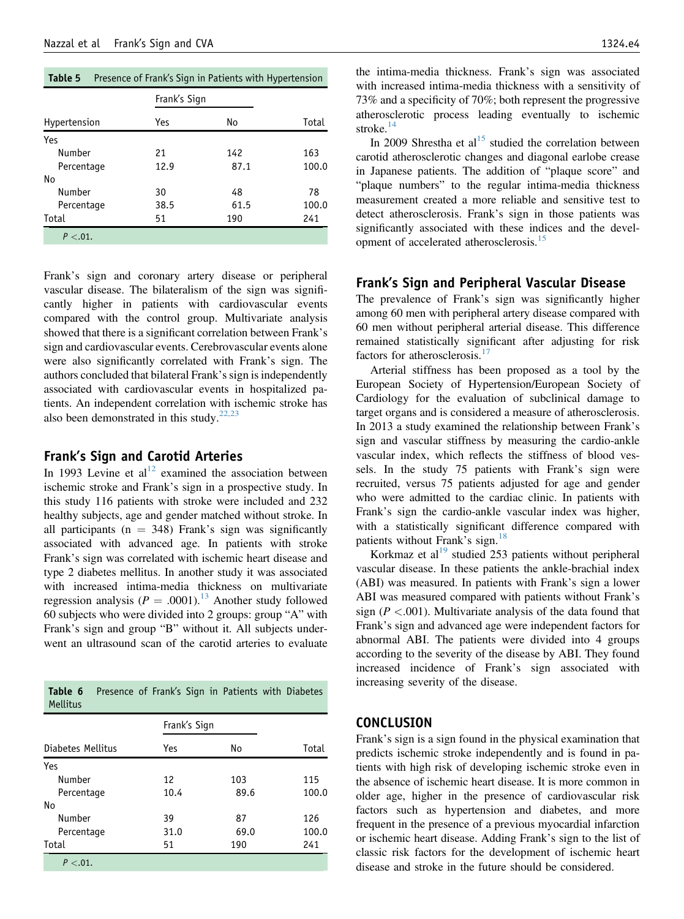<span id="page-3-0"></span>

|  | <b>Table 5</b> Presence of Frank's Sign in Patients with Hypertension |
|--|-----------------------------------------------------------------------|
|--|-----------------------------------------------------------------------|

|              | Frank's Sign |      |       |  |  |
|--------------|--------------|------|-------|--|--|
| Hypertension | Yes          | No   | Total |  |  |
| Yes          |              |      |       |  |  |
| Number       | 21           | 142  | 163   |  |  |
| Percentage   | 12.9         | 87.1 | 100.0 |  |  |
| No           |              |      |       |  |  |
| Number       | 30           | 48   | 78    |  |  |
| Percentage   | 38.5         | 61.5 | 100.0 |  |  |
| Total        | 51           | 190  | 241   |  |  |
| $P < .01$ .  |              |      |       |  |  |

Frank's sign and coronary artery disease or peripheral vascular disease. The bilateralism of the sign was significantly higher in patients with cardiovascular events compared with the control group. Multivariate analysis showed that there is a significant correlation between Frank's sign and cardiovascular events. Cerebrovascular events alone were also significantly correlated with Frank's sign. The authors concluded that bilateral Frank's sign is independently associated with cardiovascular events in hospitalized patients. An independent correlation with ischemic stroke has also been demonstrated in this study.<sup>[22,23](#page-4-0)</sup>

#### Frank's Sign and Carotid Arteries

In 1993 Levine et al<sup>[12](#page-4-0)</sup> examined the association between ischemic stroke and Frank's sign in a prospective study. In this study 116 patients with stroke were included and 232 healthy subjects, age and gender matched without stroke. In all participants ( $n = 348$ ) Frank's sign was significantly associated with advanced age. In patients with stroke Frank's sign was correlated with ischemic heart disease and type 2 diabetes mellitus. In another study it was associated with increased intima-media thickness on multivariate regression analysis ( $P = .0001$ ).<sup>[13](#page-4-0)</sup> Another study followed 60 subjects who were divided into 2 groups: group "A" with Frank's sign and group "B" without it. All subjects underwent an ultrasound scan of the carotid arteries to evaluate

| <b>Table 6</b> Presence of Frank's Sign in Patients with Diabetes |  |  |  |  |
|-------------------------------------------------------------------|--|--|--|--|
| Mellitus                                                          |  |  |  |  |

|                   | Frank's Sign |      |       |  |
|-------------------|--------------|------|-------|--|
| Diabetes Mellitus | Yes          | No   | Total |  |
| Yes               |              |      |       |  |
| Number            | 12           | 103  | 115   |  |
| Percentage        | 10.4         | 89.6 | 100.0 |  |
| No                |              |      |       |  |
| Number            | 39           | 87   | 126   |  |
| Percentage        | 31.0         | 69.0 | 100.0 |  |
| Total             | 51           | 190  | 241   |  |
| $P < .01$ .       |              |      |       |  |

the intima-media thickness. Frank's sign was associated with increased intima-media thickness with a sensitivity of 73% and a specificity of 70%; both represent the progressive atherosclerotic process leading eventually to ischemic stroke. $14$ 

In 2009 Shrestha et al<sup>[15](#page-4-0)</sup> studied the correlation between carotid atherosclerotic changes and diagonal earlobe crease in Japanese patients. The addition of "plaque score" and "plaque numbers" to the regular intima-media thickness measurement created a more reliable and sensitive test to detect atherosclerosis. Frank's sign in those patients was significantly associated with these indices and the devel-opment of accelerated atherosclerosis.<sup>[15](#page-4-0)</sup>

## Frank's Sign and Peripheral Vascular Disease

The prevalence of Frank's sign was significantly higher among 60 men with peripheral artery disease compared with 60 men without peripheral arterial disease. This difference remained statistically significant after adjusting for risk factors for atherosclerosis.<sup>[17](#page-4-0)</sup>

Arterial stiffness has been proposed as a tool by the European Society of Hypertension/European Society of Cardiology for the evaluation of subclinical damage to target organs and is considered a measure of atherosclerosis. In 2013 a study examined the relationship between Frank's sign and vascular stiffness by measuring the cardio-ankle vascular index, which reflects the stiffness of blood vessels. In the study 75 patients with Frank's sign were recruited, versus 75 patients adjusted for age and gender who were admitted to the cardiac clinic. In patients with Frank's sign the cardio-ankle vascular index was higher, with a statistically significant difference compared with patients without Frank's sign.<sup>[18](#page-4-0)</sup>

Korkmaz et al $^{19}$  $^{19}$  $^{19}$  studied 253 patients without peripheral vascular disease. In these patients the ankle-brachial index (ABI) was measured. In patients with Frank's sign a lower ABI was measured compared with patients without Frank's sign ( $P < .001$ ). Multivariate analysis of the data found that Frank's sign and advanced age were independent factors for abnormal ABI. The patients were divided into 4 groups according to the severity of the disease by ABI. They found increased incidence of Frank's sign associated with increasing severity of the disease.

## CONCLUSION

Frank's sign is a sign found in the physical examination that predicts ischemic stroke independently and is found in patients with high risk of developing ischemic stroke even in the absence of ischemic heart disease. It is more common in older age, higher in the presence of cardiovascular risk factors such as hypertension and diabetes, and more frequent in the presence of a previous myocardial infarction or ischemic heart disease. Adding Frank's sign to the list of classic risk factors for the development of ischemic heart disease and stroke in the future should be considered.